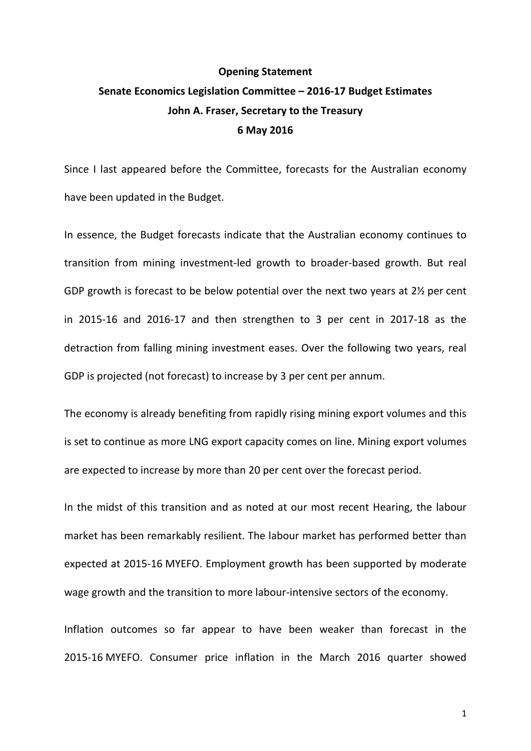## **Opening Statement Senate Economics Legislation Committee – 2016-17 Budget Estimates John A. Fraser, Secretary to the Treasury 6 May 2016**

Since I last appeared before the Committee, forecasts for the Australian economy have been updated in the Budget.

In essence, the Budget forecasts indicate that the Australian economy continues to transition from mining investment-led growth to broader-based growth. But real GDP growth is forecast to be below potential over the next two years at 2½ per cent in 2015-16 and 2016-17 and then strengthen to 3 per cent in 2017-18 as the detraction from falling mining investment eases. Over the following two years, real GDP is projected (not forecast) to increase by 3 per cent per annum.

The economy is already benefiting from rapidly rising mining export volumes and this is set to continue as more LNG export capacity comes on line. Mining export volumes are expected to increase by more than 20 per cent over the forecast period.

In the midst of this transition and as noted at our most recent Hearing, the labour market has been remarkably resilient. The labour market has performed better than expected at 2015-16 MYEFO. Employment growth has been supported by moderate wage growth and the transition to more labour-intensive sectors of the economy.

Inflation outcomes so far appear to have been weaker than forecast in the 2015-16 MYEFO. Consumer price inflation in the March 2016 quarter showed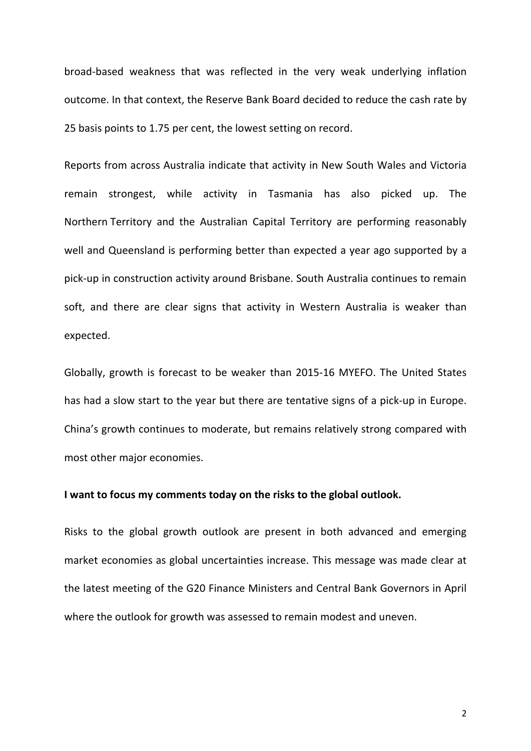broad-based weakness that was reflected in the very weak underlying inflation outcome. In that context, the Reserve Bank Board decided to reduce the cash rate by 25 basis points to 1.75 per cent, the lowest setting on record.

Reports from across Australia indicate that activity in New South Wales and Victoria remain strongest, while activity in Tasmania has also picked up. The Northern Territory and the Australian Capital Territory are performing reasonably well and Queensland is performing better than expected a year ago supported by a pick-up in construction activity around Brisbane. South Australia continues to remain soft, and there are clear signs that activity in Western Australia is weaker than expected.

Globally, growth is forecast to be weaker than 2015-16 MYEFO. The United States has had a slow start to the year but there are tentative signs of a pick-up in Europe. China's growth continues to moderate, but remains relatively strong compared with most other major economies.

## **I want to focus my comments today on the risks to the global outlook.**

Risks to the global growth outlook are present in both advanced and emerging market economies as global uncertainties increase. This message was made clear at the latest meeting of the G20 Finance Ministers and Central Bank Governors in April where the outlook for growth was assessed to remain modest and uneven.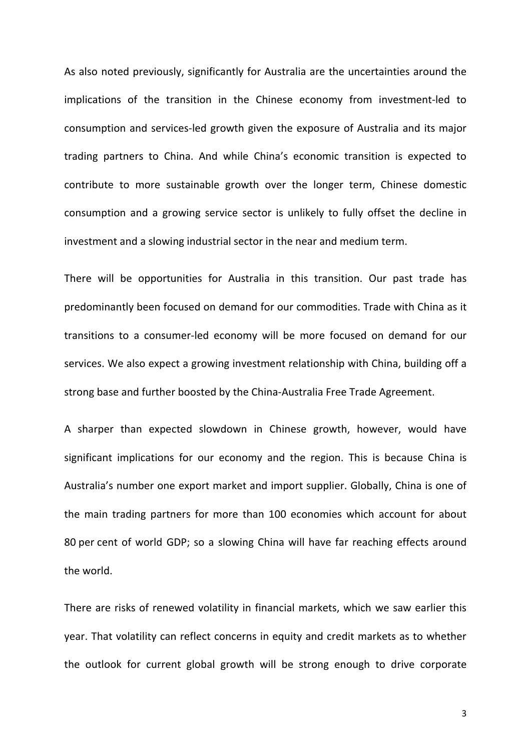As also noted previously, significantly for Australia are the uncertainties around the implications of the transition in the Chinese economy from investment-led to consumption and services-led growth given the exposure of Australia and its major trading partners to China. And while China's economic transition is expected to contribute to more sustainable growth over the longer term, Chinese domestic consumption and a growing service sector is unlikely to fully offset the decline in investment and a slowing industrial sector in the near and medium term.

There will be opportunities for Australia in this transition. Our past trade has predominantly been focused on demand for our commodities. Trade with China as it transitions to a consumer-led economy will be more focused on demand for our services. We also expect a growing investment relationship with China, building off a strong base and further boosted by the China-Australia Free Trade Agreement.

A sharper than expected slowdown in Chinese growth, however, would have significant implications for our economy and the region. This is because China is Australia's number one export market and import supplier. Globally, China is one of the main trading partners for more than 100 economies which account for about 80 per cent of world GDP; so a slowing China will have far reaching effects around the world.

There are risks of renewed volatility in financial markets, which we saw earlier this year. That volatility can reflect concerns in equity and credit markets as to whether the outlook for current global growth will be strong enough to drive corporate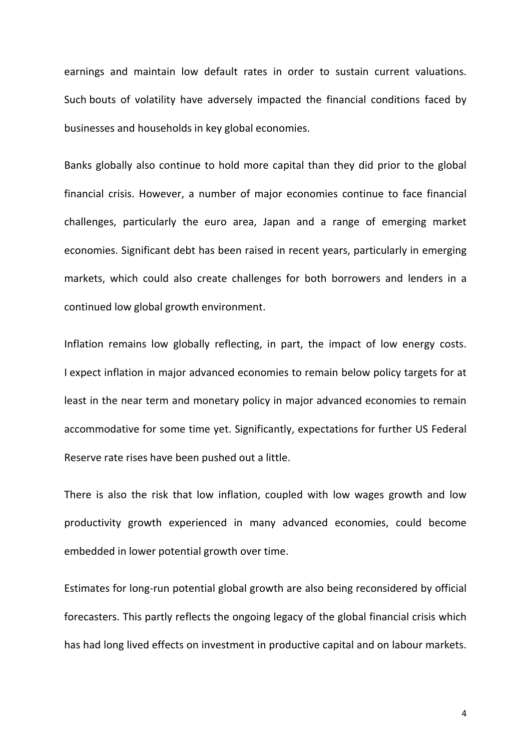earnings and maintain low default rates in order to sustain current valuations. Such bouts of volatility have adversely impacted the financial conditions faced by businesses and households in key global economies.

Banks globally also continue to hold more capital than they did prior to the global financial crisis. However, a number of major economies continue to face financial challenges, particularly the euro area, Japan and a range of emerging market economies. Significant debt has been raised in recent years, particularly in emerging markets, which could also create challenges for both borrowers and lenders in a continued low global growth environment.

Inflation remains low globally reflecting, in part, the impact of low energy costs. I expect inflation in major advanced economies to remain below policy targets for at least in the near term and monetary policy in major advanced economies to remain accommodative for some time yet. Significantly, expectations for further US Federal Reserve rate rises have been pushed out a little.

There is also the risk that low inflation, coupled with low wages growth and low productivity growth experienced in many advanced economies, could become embedded in lower potential growth over time.

Estimates for long-run potential global growth are also being reconsidered by official forecasters. This partly reflects the ongoing legacy of the global financial crisis which has had long lived effects on investment in productive capital and on labour markets.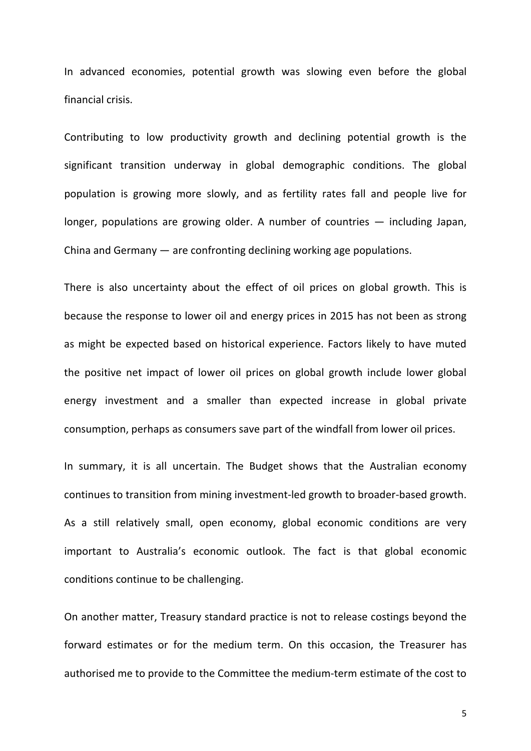In advanced economies, potential growth was slowing even before the global financial crisis.

Contributing to low productivity growth and declining potential growth is the significant transition underway in global demographic conditions. The global population is growing more slowly, and as fertility rates fall and people live for longer, populations are growing older. A number of countries — including Japan, China and Germany — are confronting declining working age populations.

There is also uncertainty about the effect of oil prices on global growth. This is because the response to lower oil and energy prices in 2015 has not been as strong as might be expected based on historical experience. Factors likely to have muted the positive net impact of lower oil prices on global growth include lower global energy investment and a smaller than expected increase in global private consumption, perhaps as consumers save part of the windfall from lower oil prices.

In summary, it is all uncertain. The Budget shows that the Australian economy continues to transition from mining investment-led growth to broader-based growth. As a still relatively small, open economy, global economic conditions are very important to Australia's economic outlook. The fact is that global economic conditions continue to be challenging.

On another matter, Treasury standard practice is not to release costings beyond the forward estimates or for the medium term. On this occasion, the Treasurer has authorised me to provide to the Committee the medium-term estimate of the cost to